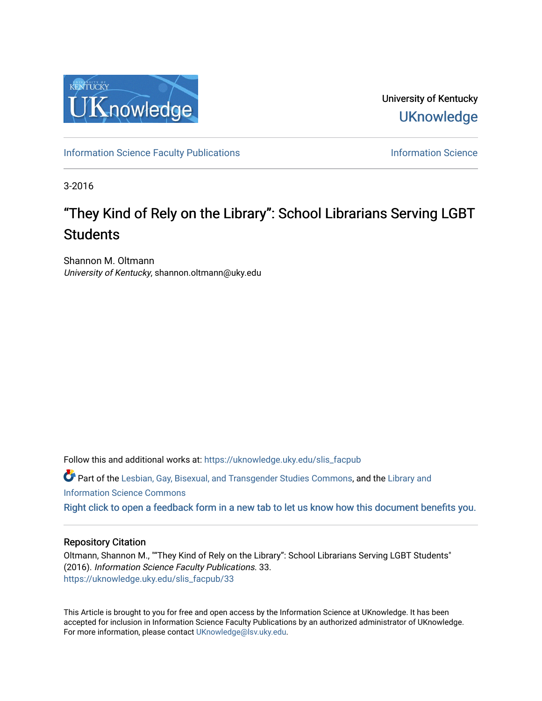

University of Kentucky **UKnowledge** 

[Information Science Faculty Publications](https://uknowledge.uky.edu/slis_facpub) **Information Science** Information Science

3-2016

## "They Kind of Rely on the Library": School Librarians Serving LGBT **Students**

Shannon M. Oltmann University of Kentucky, shannon.oltmann@uky.edu

Follow this and additional works at: [https://uknowledge.uky.edu/slis\\_facpub](https://uknowledge.uky.edu/slis_facpub?utm_source=uknowledge.uky.edu%2Fslis_facpub%2F33&utm_medium=PDF&utm_campaign=PDFCoverPages) 

Part of the [Lesbian, Gay, Bisexual, and Transgender Studies Commons](http://network.bepress.com/hgg/discipline/560?utm_source=uknowledge.uky.edu%2Fslis_facpub%2F33&utm_medium=PDF&utm_campaign=PDFCoverPages), and the [Library and](http://network.bepress.com/hgg/discipline/1018?utm_source=uknowledge.uky.edu%2Fslis_facpub%2F33&utm_medium=PDF&utm_campaign=PDFCoverPages)  [Information Science Commons](http://network.bepress.com/hgg/discipline/1018?utm_source=uknowledge.uky.edu%2Fslis_facpub%2F33&utm_medium=PDF&utm_campaign=PDFCoverPages) 

[Right click to open a feedback form in a new tab to let us know how this document benefits you.](https://uky.az1.qualtrics.com/jfe/form/SV_9mq8fx2GnONRfz7)

#### Repository Citation

Oltmann, Shannon M., ""They Kind of Rely on the Library": School Librarians Serving LGBT Students" (2016). Information Science Faculty Publications. 33. [https://uknowledge.uky.edu/slis\\_facpub/33](https://uknowledge.uky.edu/slis_facpub/33?utm_source=uknowledge.uky.edu%2Fslis_facpub%2F33&utm_medium=PDF&utm_campaign=PDFCoverPages)

This Article is brought to you for free and open access by the Information Science at UKnowledge. It has been accepted for inclusion in Information Science Faculty Publications by an authorized administrator of UKnowledge. For more information, please contact [UKnowledge@lsv.uky.edu.](mailto:UKnowledge@lsv.uky.edu)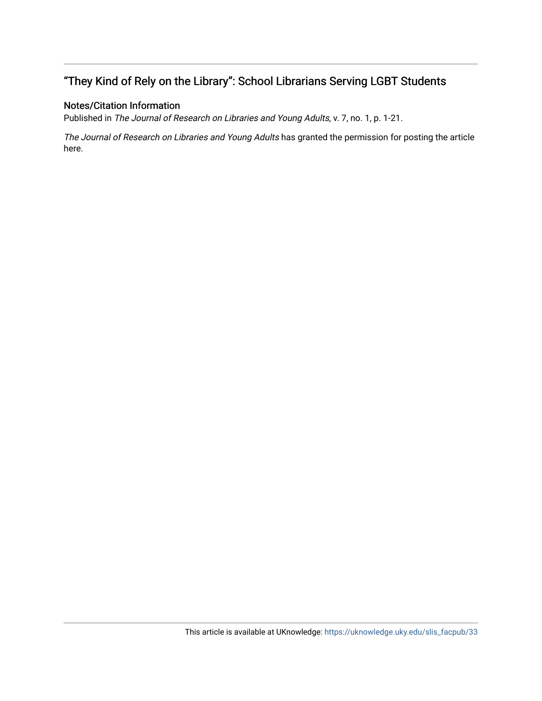## "They Kind of Rely on the Library": School Librarians Serving LGBT Students

#### Notes/Citation Information

Published in The Journal of Research on Libraries and Young Adults, v. 7, no. 1, p. 1-21.

The Journal of Research on Libraries and Young Adults has granted the permission for posting the article here.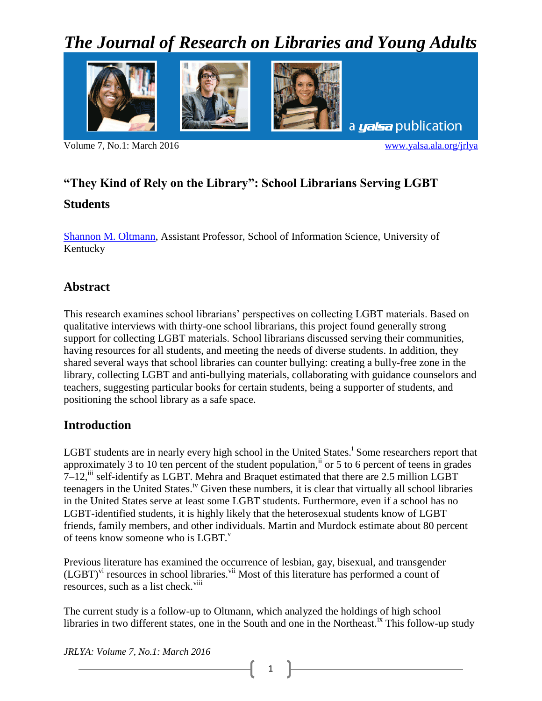# *The Journal of Research on Libraries and Young Adults*



Volume 7, No.1: March 2016 [www.yalsa.ala.org/jrlya](http://www.yalsa.ala.org/jrlya)

## **"They Kind of Rely on the Library": School Librarians Serving LGBT**

### **Students**

[Shannon M. Oltmann,](mailto:shannon.oltmann@uky.edu) Assistant Professor, School of Information Science, University of Kentucky

## **Abstract**

This research examines school librarians' perspectives on collecting LGBT materials. Based on qualitative interviews with thirty-one school librarians, this project found generally strong support for collecting LGBT materials. School librarians discussed serving their communities, having resources for all students, and meeting the needs of diverse students. In addition, they shared several ways that school libraries can counter bullying: creating a bully-free zone in the library, collecting LGBT and anti-bullying materials, collaborating with guidance counselors and teachers, suggesting particular books for certain students, being a supporter of students, and positioning the school library as a safe space.

## **Introduction**

LGBT students are in nearly every high school in the United States.<sup>i</sup> Some researchers report that approximately 3 to 10 ten percent of the student population,  $\ddot{a}$  or 5 to 6 percent of teens in grades  $7-12$ ,  $\overline{1}$  self-identify as LGBT. Mehra and Braquet estimated that there are 2.5 million LGBT teenagers in the United States.<sup>iv</sup> Given these numbers, it is clear that virtually all school libraries in the United States serve at least some LGBT students. Furthermore, even if a school has no LGBT-identified students, it is highly likely that the heterosexual students know of LGBT friends, family members, and other individuals. Martin and Murdock estimate about 80 percent of teens know someone who is LGBT. $V$ 

Previous literature has examined the occurrence of lesbian, gay, bisexual, and transgender  $(LGBT)^{vi}$  resources in school libraries.<sup>vii</sup> Most of this literature has performed a count of resources, such as a list check.  $viii$ 

The current study is a follow-up to Oltmann, which analyzed the holdings of high school libraries in two different states, one in the South and one in the Northeast.<sup>ix</sup> This follow-up study

*JRLYA: Volume 7, No.1: March 2016*

1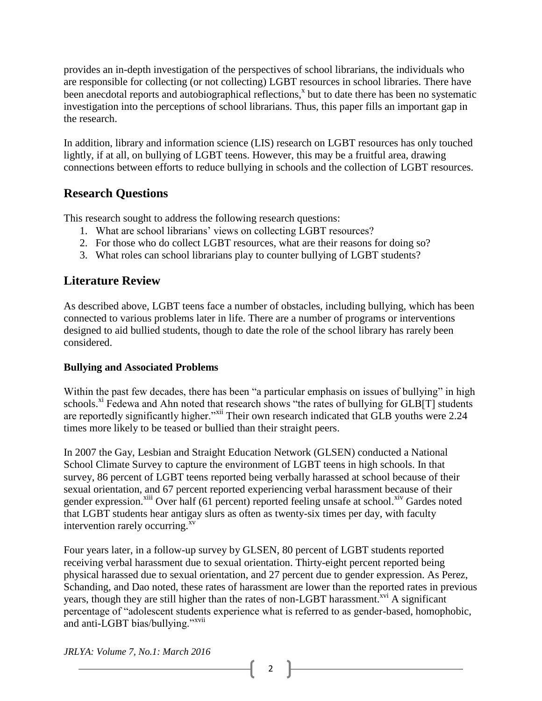provides an in-depth investigation of the perspectives of school librarians, the individuals who are responsible for collecting (or not collecting) LGBT resources in school libraries. There have been anecdotal reports and autobiographical reflections,<sup>x</sup> but to date there has been no systematic investigation into the perceptions of school librarians. Thus, this paper fills an important gap in the research.

In addition, library and information science (LIS) research on LGBT resources has only touched lightly, if at all, on bullying of LGBT teens. However, this may be a fruitful area, drawing connections between efforts to reduce bullying in schools and the collection of LGBT resources.

## **Research Questions**

This research sought to address the following research questions:

- 1. What are school librarians' views on collecting LGBT resources?
- 2. For those who do collect LGBT resources, what are their reasons for doing so?
- 3. What roles can school librarians play to counter bullying of LGBT students?

## **Literature Review**

As described above, LGBT teens face a number of obstacles, including bullying, which has been connected to various problems later in life. There are a number of programs or interventions designed to aid bullied students, though to date the role of the school library has rarely been considered.

#### **Bullying and Associated Problems**

Within the past few decades, there has been "a particular emphasis on issues of bullying" in high schools.<sup>xi</sup> Fedewa and Ahn noted that research shows "the rates of bullying for  $GLB[T]$  students are reportedly significantly higher."<sup>xii</sup> Their own research indicated that GLB youths were 2.24 times more likely to be teased or bullied than their straight peers.

In 2007 the Gay, Lesbian and Straight Education Network (GLSEN) conducted a National School Climate Survey to capture the environment of LGBT teens in high schools. In that survey, 86 percent of LGBT teens reported being verbally harassed at school because of their sexual orientation, and 67 percent reported experiencing verbal harassment because of their gender expression.<sup>xiii</sup> Over half (61 percent) reported feeling unsafe at school.<sup>xiv</sup> Gardes noted that LGBT students hear antigay slurs as often as twenty-six times per day, with faculty intervention rarely occurring.<sup>xv</sup>

Four years later, in a follow-up survey by GLSEN, 80 percent of LGBT students reported receiving verbal harassment due to sexual orientation. Thirty-eight percent reported being physical harassed due to sexual orientation, and 27 percent due to gender expression. As Perez, Schanding, and Dao noted, these rates of harassment are lower than the reported rates in previous years, though they are still higher than the rates of non-LGBT harassment.<sup>xvi</sup> A significant percentage of "adolescent students experience what is referred to as gender-based, homophobic, and anti-LGBT bias/bullying."xvii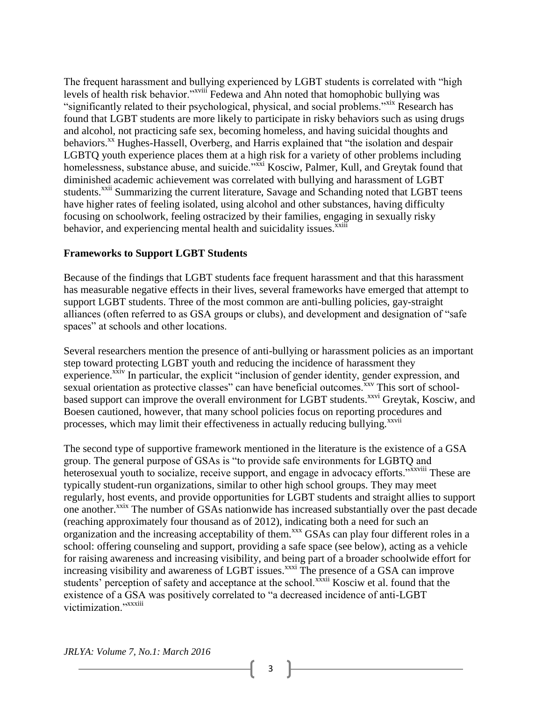The frequent harassment and bullying experienced by LGBT students is correlated with "high levels of health risk behavior."<sup>xviii</sup> Fedewa and Ahn noted that homophobic bullying was "significantly related to their psychological, physical, and social problems."<sup>xix</sup> Research has found that LGBT students are more likely to participate in risky behaviors such as using drugs and alcohol, not practicing safe sex, becoming homeless, and having suicidal thoughts and behaviors.<sup>xx</sup> Hughes-Hassell, Overberg, and Harris explained that "the isolation and despair LGBTQ youth experience places them at a high risk for a variety of other problems including homelessness, substance abuse, and suicide."<sup>xxi</sup> Kosciw, Palmer, Kull, and Greytak found that diminished academic achievement was correlated with bullying and harassment of LGBT students.<sup>xxii</sup> Summarizing the current literature, Savage and Schanding noted that LGBT teens have higher rates of feeling isolated, using alcohol and other substances, having difficulty focusing on schoolwork, feeling ostracized by their families, engaging in sexually risky behavior, and experiencing mental health and suicidality issues.<sup>xxiii</sup>

#### **Frameworks to Support LGBT Students**

Because of the findings that LGBT students face frequent harassment and that this harassment has measurable negative effects in their lives, several frameworks have emerged that attempt to support LGBT students. Three of the most common are anti-bulling policies, gay-straight alliances (often referred to as GSA groups or clubs), and development and designation of "safe spaces" at schools and other locations.

Several researchers mention the presence of anti-bullying or harassment policies as an important step toward protecting LGBT youth and reducing the incidence of harassment they experience.<sup>xxiv</sup> In particular, the explicit "inclusion of gender identity, gender expression, and sexual orientation as protective classes" can have beneficial outcomes.<sup>xxv</sup> This sort of schoolbased support can improve the overall environment for LGBT students.<sup>xxvi</sup> Greytak, Kosciw, and Boesen cautioned, however, that many school policies focus on reporting procedures and processes, which may limit their effectiveness in actually reducing bullying.<sup>xxvii</sup>

The second type of supportive framework mentioned in the literature is the existence of a GSA group. The general purpose of GSAs is "to provide safe environments for LGBTQ and heterosexual youth to socialize, receive support, and engage in advocacy efforts."xxviii These are typically student-run organizations, similar to other high school groups. They may meet regularly, host events, and provide opportunities for LGBT students and straight allies to support one another.<sup>xxix</sup> The number of GSAs nationwide has increased substantially over the past decade (reaching approximately four thousand as of 2012), indicating both a need for such an organization and the increasing acceptability of them.<sup>xxx</sup> GSAs can play four different roles in a school: offering counseling and support, providing a safe space (see below), acting as a vehicle for raising awareness and increasing visibility, and being part of a broader schoolwide effort for increasing visibility and awareness of LGBT issues.<sup>xxxi</sup> The presence of a GSA can improve students' perception of safety and acceptance at the school.<sup>xxxii</sup> Kosciw et al. found that the existence of a GSA was positively correlated to "a decreased incidence of anti-LGBT victimization."xxxiii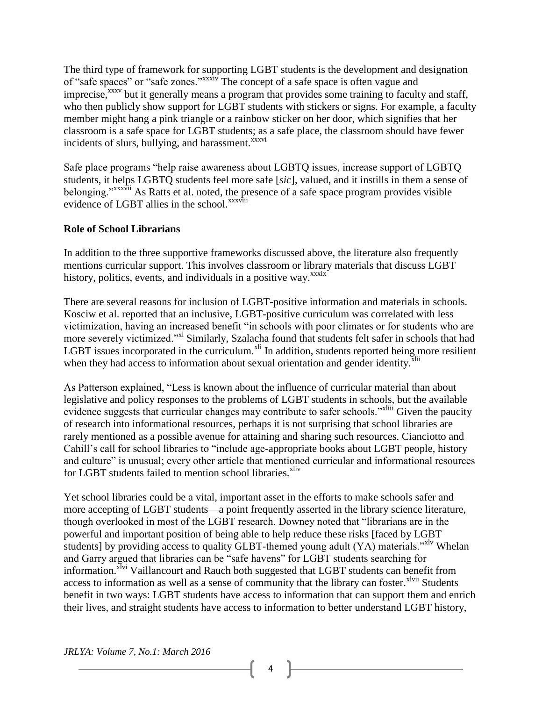The third type of framework for supporting LGBT students is the development and designation of "safe spaces" or "safe zones."xxxiv The concept of a safe space is often vague and imprecise,<sup>xxxv</sup> but it generally means a program that provides some training to faculty and staff, who then publicly show support for LGBT students with stickers or signs. For example, a faculty member might hang a pink triangle or a rainbow sticker on her door, which signifies that her classroom is a safe space for LGBT students; as a safe place, the classroom should have fewer incidents of slurs, bullying, and harassment.<sup>xxxvi</sup>

Safe place programs "help raise awareness about LGBTQ issues, increase support of LGBTQ students, it helps LGBTQ students feel more safe [*sic*], valued, and it instills in them a sense of belonging."<sup>xxxvii</sup> As Ratts et al. noted, the presence of a safe space program provides visible evidence of LGBT allies in the school.<sup>xxxviii</sup>

#### **Role of School Librarians**

In addition to the three supportive frameworks discussed above, the literature also frequently mentions curricular support. This involves classroom or library materials that discuss LGBT history, politics, events, and individuals in a positive wav.<sup>xxxix</sup>

There are several reasons for inclusion of LGBT-positive information and materials in schools. Kosciw et al. reported that an inclusive, LGBT-positive curriculum was correlated with less victimization, having an increased benefit "in schools with poor climates or for students who are more severely victimized."<sup>xl</sup> Similarly, Szalacha found that students felt safer in schools that had LGBT issues incorporated in the curriculum.<sup>xli</sup> In addition, students reported being more resilient when they had access to information about sexual orientation and gender identity.<sup>xlii</sup>

As Patterson explained, "Less is known about the influence of curricular material than about legislative and policy responses to the problems of LGBT students in schools, but the available evidence suggests that curricular changes may contribute to safer schools."<sup>xliii</sup> Given the paucity of research into informational resources, perhaps it is not surprising that school libraries are rarely mentioned as a possible avenue for attaining and sharing such resources. Cianciotto and Cahill's call for school libraries to "include age-appropriate books about LGBT people, history and culture" is unusual; every other article that mentioned curricular and informational resources for LGBT students failed to mention school libraries.<sup>xliv</sup>

Yet school libraries could be a vital, important asset in the efforts to make schools safer and more accepting of LGBT students—a point frequently asserted in the library science literature, though overlooked in most of the LGBT research. Downey noted that "librarians are in the powerful and important position of being able to help reduce these risks [faced by LGBT students] by providing access to quality GLBT-themed young adult (YA) materials."<sup>xlv</sup> Whelan and Garry argued that libraries can be "safe havens" for LGBT students searching for information.<sup>XIvi</sup> Vaillancourt and Rauch both suggested that LGBT students can benefit from access to information as well as a sense of community that the library can foster.<sup>xlvii</sup> Students benefit in two ways: LGBT students have access to information that can support them and enrich their lives, and straight students have access to information to better understand LGBT history,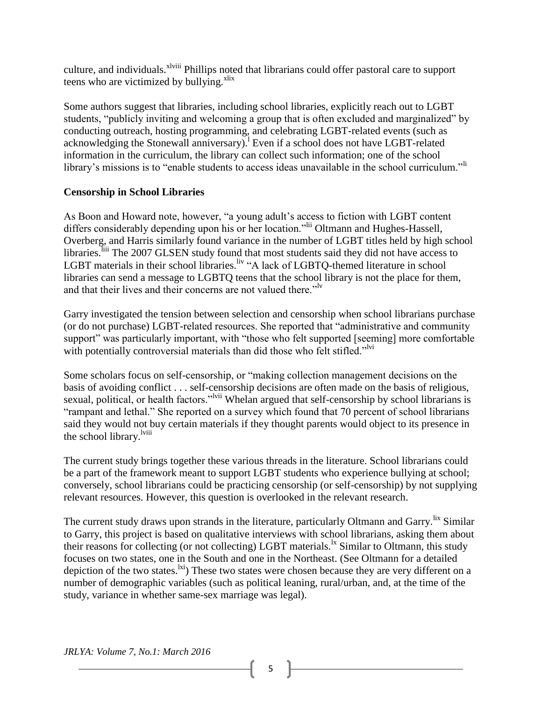culture, and individuals.<sup>xlviii</sup> Phillips noted that librarians could offer pastoral care to support teens who are victimized by bullying.<sup>xlix</sup>

Some authors suggest that libraries, including school libraries, explicitly reach out to LGBT students, "publicly inviting and welcoming a group that is often excluded and marginalized" by conducting outreach, hosting programming, and celebrating LGBT-related events (such as acknowledging the Stonewall anniversary). Even if a school does not have LGBT-related information in the curriculum, the library can collect such information; one of the school library's missions is to "enable students to access ideas unavailable in the school curriculum."<sup>li</sup>

#### **Censorship in School Libraries**

As Boon and Howard note, however, "a young adult's access to fiction with LGBT content differs considerably depending upon his or her location."<sup>lii</sup> Oltmann and Hughes-Hassell, Overberg, and Harris similarly found variance in the number of LGBT titles held by high school libraries.<sup>liii</sup> The 2007 GLSEN study found that most students said they did not have access to LGBT materials in their school libraries.<sup>liv</sup> "A lack of LGBTQ-themed literature in school libraries can send a message to LGBTQ teens that the school library is not the place for them, and that their lives and their concerns are not valued there."<sup>lv</sup>

Garry investigated the tension between selection and censorship when school librarians purchase (or do not purchase) LGBT-related resources. She reported that "administrative and community support" was particularly important, with "those who felt supported [seeming] more comfortable with potentially controversial materials than did those who felt stifled."<sup>lvi</sup>

Some scholars focus on self-censorship, or "making collection management decisions on the basis of avoiding conflict . . . self-censorship decisions are often made on the basis of religious, sexual, political, or health factors."<sup>Ivii</sup> Whelan argued that self-censorship by school librarians is "rampant and lethal." She reported on a survey which found that 70 percent of school librarians said they would not buy certain materials if they thought parents would object to its presence in the school library.<sup>lviii</sup>

The current study brings together these various threads in the literature. School librarians could be a part of the framework meant to support LGBT students who experience bullying at school; conversely, school librarians could be practicing censorship (or self-censorship) by not supplying relevant resources. However, this question is overlooked in the relevant research.

The current study draws upon strands in the literature, particularly Oltmann and Garry. <sup>Itx</sup> Similar to Garry, this project is based on qualitative interviews with school librarians, asking them about their reasons for collecting (or not collecting) LGBT materials.<sup>1x</sup> Similar to Oltmann, this study focuses on two states, one in the South and one in the Northeast. (See Oltmann for a detailed depiction of the two states.<sup>[xi</sup>] These two states were chosen because they are very different on a number of demographic variables (such as political leaning, rural/urban, and, at the time of the study, variance in whether same-sex marriage was legal).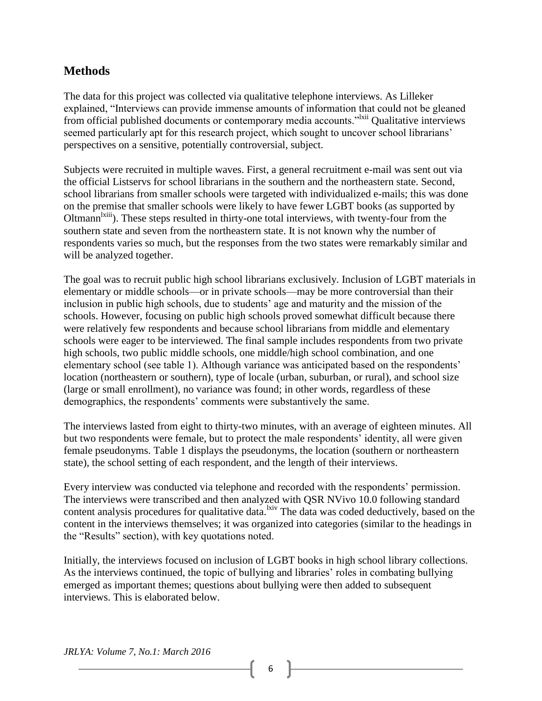## **Methods**

The data for this project was collected via qualitative telephone interviews. As Lilleker explained, "Interviews can provide immense amounts of information that could not be gleaned from official published documents or contemporary media accounts."<sup>Ixii</sup> Qualitative interviews seemed particularly apt for this research project, which sought to uncover school librarians' perspectives on a sensitive, potentially controversial, subject.

Subjects were recruited in multiple waves. First, a general recruitment e-mail was sent out via the official Listservs for school librarians in the southern and the northeastern state. Second, school librarians from smaller schools were targeted with individualized e-mails; this was done on the premise that smaller schools were likely to have fewer LGBT books (as supported by Oltmann<sup>lxiii</sup>). These steps resulted in thirty-one total interviews, with twenty-four from the southern state and seven from the northeastern state. It is not known why the number of respondents varies so much, but the responses from the two states were remarkably similar and will be analyzed together.

The goal was to recruit public high school librarians exclusively. Inclusion of LGBT materials in elementary or middle schools—or in private schools—may be more controversial than their inclusion in public high schools, due to students' age and maturity and the mission of the schools. However, focusing on public high schools proved somewhat difficult because there were relatively few respondents and because school librarians from middle and elementary schools were eager to be interviewed. The final sample includes respondents from two private high schools, two public middle schools, one middle/high school combination, and one elementary school (see table 1). Although variance was anticipated based on the respondents' location (northeastern or southern), type of locale (urban, suburban, or rural), and school size (large or small enrollment), no variance was found; in other words, regardless of these demographics, the respondents' comments were substantively the same.

The interviews lasted from eight to thirty-two minutes, with an average of eighteen minutes. All but two respondents were female, but to protect the male respondents' identity, all were given female pseudonyms. Table 1 displays the pseudonyms, the location (southern or northeastern state), the school setting of each respondent, and the length of their interviews.

Every interview was conducted via telephone and recorded with the respondents' permission. The interviews were transcribed and then analyzed with QSR NVivo 10.0 following standard content analysis procedures for qualitative data.<sup>lxiv</sup> The data was coded deductively, based on the content in the interviews themselves; it was organized into categories (similar to the headings in the "Results" section), with key quotations noted.

Initially, the interviews focused on inclusion of LGBT books in high school library collections. As the interviews continued, the topic of bullying and libraries' roles in combating bullying emerged as important themes; questions about bullying were then added to subsequent interviews. This is elaborated below.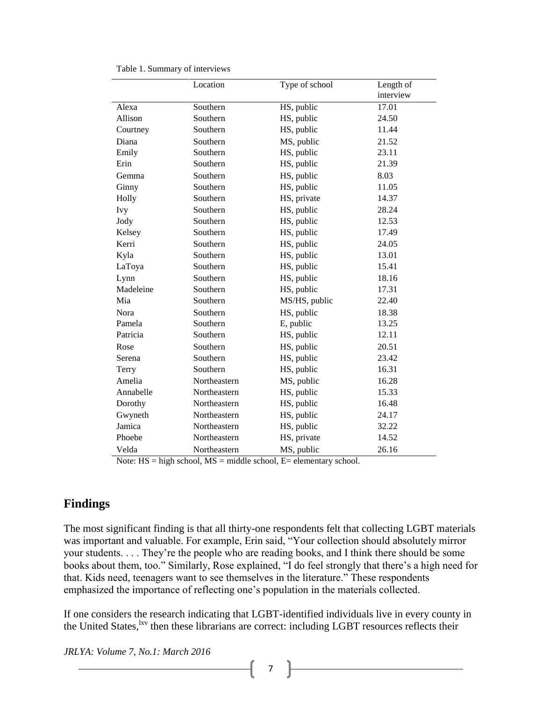|            | Location     | Type of school | Length of<br>interview |
|------------|--------------|----------------|------------------------|
| Alexa      | Southern     | HS, public     | 17.01                  |
| Allison    | Southern     | HS, public     | 24.50                  |
| Courtney   | Southern     | HS, public     | 11.44                  |
| Diana      | Southern     | MS, public     | 21.52                  |
| Emily      | Southern     | HS, public     | 23.11                  |
| Erin       | Southern     | HS, public     | 21.39                  |
| Gemma      | Southern     | HS, public     | 8.03                   |
| Ginny      | Southern     | HS, public     | 11.05                  |
| Holly      | Southern     | HS, private    | 14.37                  |
| <b>Ivy</b> | Southern     | HS, public     | 28.24                  |
| Jody       | Southern     | HS, public     | 12.53                  |
| Kelsey     | Southern     | HS, public     | 17.49                  |
| Kerri      | Southern     | HS, public     | 24.05                  |
| Kyla       | Southern     | HS, public     | 13.01                  |
| LaToya     | Southern     | HS, public     | 15.41                  |
| Lynn       | Southern     | HS, public     | 18.16                  |
| Madeleine  | Southern     | HS, public     | 17.31                  |
| Mia        | Southern     | MS/HS, public  | 22.40                  |
| Nora       | Southern     | HS, public     | 18.38                  |
| Pamela     | Southern     | E, public      | 13.25                  |
| Patricia   | Southern     | HS, public     | 12.11                  |
| Rose       | Southern     | HS, public     | 20.51                  |
| Serena     | Southern     | HS, public     | 23.42                  |
| Terry      | Southern     | HS, public     | 16.31                  |
| Amelia     | Northeastern | MS, public     | 16.28                  |
| Annabelle  | Northeastern | HS, public     | 15.33                  |
| Dorothy    | Northeastern | HS, public     | 16.48                  |
| Gwyneth    | Northeastern | HS, public     | 24.17                  |
| Jamica     | Northeastern | HS, public     | 32.22                  |
| Phoebe     | Northeastern | HS, private    | 14.52                  |
| Velda      | Northeastern | MS, public     | 26.16                  |

Note: HS = high school, MS = middle school, E= elementary school.

### **Findings**

The most significant finding is that all thirty-one respondents felt that collecting LGBT materials was important and valuable. For example, Erin said, "Your collection should absolutely mirror your students. . . . They're the people who are reading books, and I think there should be some books about them, too." Similarly, Rose explained, "I do feel strongly that there's a high need for that. Kids need, teenagers want to see themselves in the literature." These respondents emphasized the importance of reflecting one's population in the materials collected.

If one considers the research indicating that LGBT-identified individuals live in every county in the United States,  $\frac{1}{x}$  then these librarians are correct: including LGBT resources reflects their

*JRLYA: Volume 7, No.1: March 2016*

7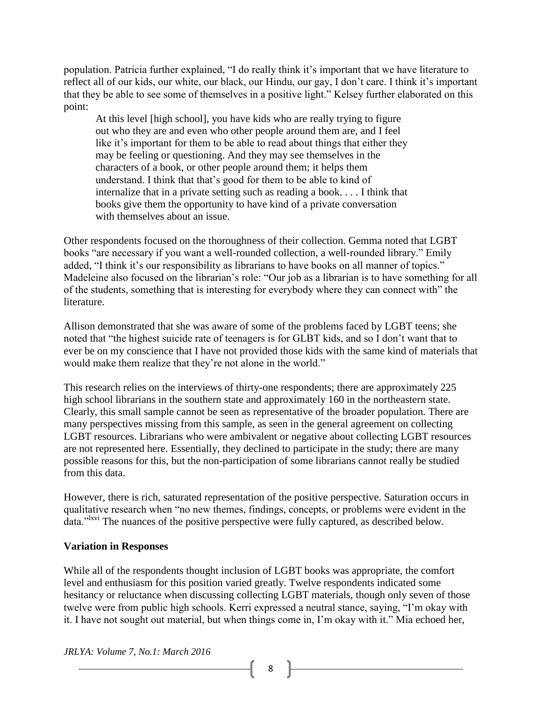population. Patricia further explained, "I do really think it's important that we have literature to reflect all of our kids, our white, our black, our Hindu, our gay, I don't care. I think it's important that they be able to see some of themselves in a positive light." Kelsey further elaborated on this point:

At this level [high school], you have kids who are really trying to figure out who they are and even who other people around them are, and I feel like it's important for them to be able to read about things that either they may be feeling or questioning. And they may see themselves in the characters of a book, or other people around them; it helps them understand. I think that that's good for them to be able to kind of internalize that in a private setting such as reading a book. . . . I think that books give them the opportunity to have kind of a private conversation with themselves about an issue.

Other respondents focused on the thoroughness of their collection. Gemma noted that LGBT books "are necessary if you want a well-rounded collection, a well-rounded library." Emily added, "I think it's our responsibility as librarians to have books on all manner of topics." Madeleine also focused on the librarian's role: "Our job as a librarian is to have something for all of the students, something that is interesting for everybody where they can connect with" the literature.

Allison demonstrated that she was aware of some of the problems faced by LGBT teens; she noted that "the highest suicide rate of teenagers is for GLBT kids, and so I don't want that to ever be on my conscience that I have not provided those kids with the same kind of materials that would make them realize that they're not alone in the world."

This research relies on the interviews of thirty-one respondents; there are approximately 225 high school librarians in the southern state and approximately 160 in the northeastern state. Clearly, this small sample cannot be seen as representative of the broader population. There are many perspectives missing from this sample, as seen in the general agreement on collecting LGBT resources. Librarians who were ambivalent or negative about collecting LGBT resources are not represented here. Essentially, they declined to participate in the study; there are many possible reasons for this, but the non-participation of some librarians cannot really be studied from this data.

However, there is rich, saturated representation of the positive perspective. Saturation occurs in qualitative research when "no new themes, findings, concepts, or problems were evident in the data."<sup>Ixvi</sup> The nuances of the positive perspective were fully captured, as described below.

#### **Variation in Responses**

While all of the respondents thought inclusion of LGBT books was appropriate, the comfort level and enthusiasm for this position varied greatly. Twelve respondents indicated some hesitancy or reluctance when discussing collecting LGBT materials, though only seven of those twelve were from public high schools. Kerri expressed a neutral stance, saying, "I'm okay with it. I have not sought out material, but when things come in, I'm okay with it." Mia echoed her,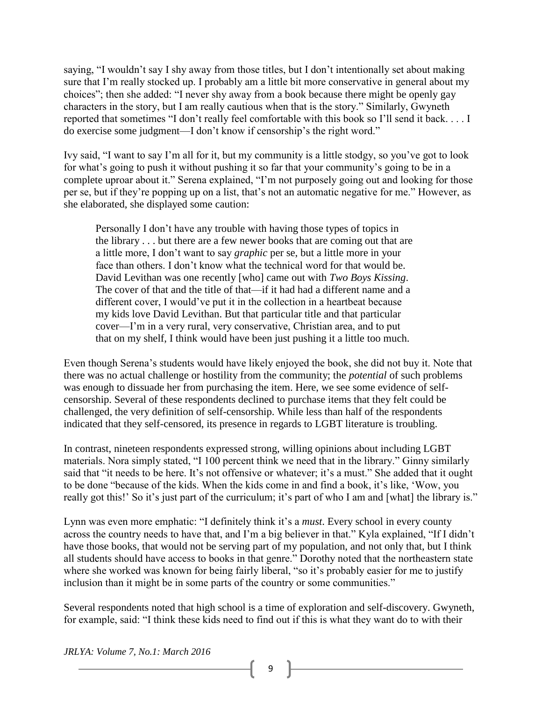saying, "I wouldn't say I shy away from those titles, but I don't intentionally set about making sure that I'm really stocked up. I probably am a little bit more conservative in general about my choices"; then she added: "I never shy away from a book because there might be openly gay characters in the story, but I am really cautious when that is the story." Similarly, Gwyneth reported that sometimes "I don't really feel comfortable with this book so I'll send it back. . . . I do exercise some judgment—I don't know if censorship's the right word."

Ivy said, "I want to say I'm all for it, but my community is a little stodgy, so you've got to look for what's going to push it without pushing it so far that your community's going to be in a complete uproar about it." Serena explained, "I'm not purposely going out and looking for those per se, but if they're popping up on a list, that's not an automatic negative for me." However, as she elaborated, she displayed some caution:

Personally I don't have any trouble with having those types of topics in the library . . . but there are a few newer books that are coming out that are a little more, I don't want to say *graphic* per se, but a little more in your face than others. I don't know what the technical word for that would be. David Levithan was one recently [who] came out with *Two Boys Kissing*. The cover of that and the title of that—if it had had a different name and a different cover, I would've put it in the collection in a heartbeat because my kids love David Levithan. But that particular title and that particular cover—I'm in a very rural, very conservative, Christian area, and to put that on my shelf, I think would have been just pushing it a little too much.

Even though Serena's students would have likely enjoyed the book, she did not buy it. Note that there was no actual challenge or hostility from the community; the *potential* of such problems was enough to dissuade her from purchasing the item. Here, we see some evidence of selfcensorship. Several of these respondents declined to purchase items that they felt could be challenged, the very definition of self-censorship. While less than half of the respondents indicated that they self-censored, its presence in regards to LGBT literature is troubling.

In contrast, nineteen respondents expressed strong, willing opinions about including LGBT materials. Nora simply stated, "I 100 percent think we need that in the library." Ginny similarly said that "it needs to be here. It's not offensive or whatever; it's a must." She added that it ought to be done "because of the kids. When the kids come in and find a book, it's like, 'Wow, you really got this!' So it's just part of the curriculum; it's part of who I am and [what] the library is."

Lynn was even more emphatic: "I definitely think it's a *must*. Every school in every county across the country needs to have that, and I'm a big believer in that." Kyla explained, "If I didn't have those books, that would not be serving part of my population, and not only that, but I think all students should have access to books in that genre." Dorothy noted that the northeastern state where she worked was known for being fairly liberal, "so it's probably easier for me to justify inclusion than it might be in some parts of the country or some communities."

Several respondents noted that high school is a time of exploration and self-discovery. Gwyneth, for example, said: "I think these kids need to find out if this is what they want do to with their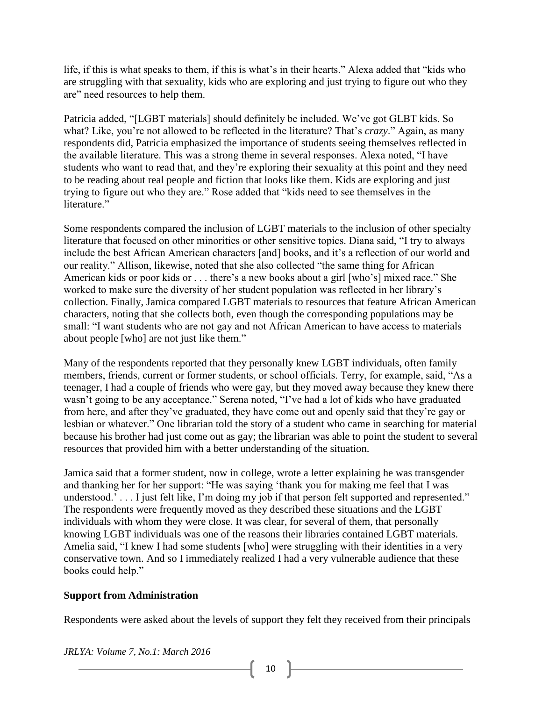life, if this is what speaks to them, if this is what's in their hearts." Alexa added that "kids who are struggling with that sexuality, kids who are exploring and just trying to figure out who they are" need resources to help them.

Patricia added, "[LGBT materials] should definitely be included. We've got GLBT kids. So what? Like, you're not allowed to be reflected in the literature? That's *crazy*." Again, as many respondents did, Patricia emphasized the importance of students seeing themselves reflected in the available literature. This was a strong theme in several responses. Alexa noted, "I have students who want to read that, and they're exploring their sexuality at this point and they need to be reading about real people and fiction that looks like them. Kids are exploring and just trying to figure out who they are." Rose added that "kids need to see themselves in the literature"

Some respondents compared the inclusion of LGBT materials to the inclusion of other specialty literature that focused on other minorities or other sensitive topics. Diana said, "I try to always include the best African American characters [and] books, and it's a reflection of our world and our reality." Allison, likewise, noted that she also collected "the same thing for African American kids or poor kids or . . . there's a new books about a girl [who's] mixed race." She worked to make sure the diversity of her student population was reflected in her library's collection. Finally, Jamica compared LGBT materials to resources that feature African American characters, noting that she collects both, even though the corresponding populations may be small: "I want students who are not gay and not African American to have access to materials about people [who] are not just like them."

Many of the respondents reported that they personally knew LGBT individuals, often family members, friends, current or former students, or school officials. Terry, for example, said, "As a teenager, I had a couple of friends who were gay, but they moved away because they knew there wasn't going to be any acceptance." Serena noted, "I've had a lot of kids who have graduated from here, and after they've graduated, they have come out and openly said that they're gay or lesbian or whatever." One librarian told the story of a student who came in searching for material because his brother had just come out as gay; the librarian was able to point the student to several resources that provided him with a better understanding of the situation.

Jamica said that a former student, now in college, wrote a letter explaining he was transgender and thanking her for her support: "He was saying 'thank you for making me feel that I was understood.<sup>7</sup> . . . I just felt like, I'm doing my job if that person felt supported and represented." The respondents were frequently moved as they described these situations and the LGBT individuals with whom they were close. It was clear, for several of them, that personally knowing LGBT individuals was one of the reasons their libraries contained LGBT materials. Amelia said, "I knew I had some students [who] were struggling with their identities in a very conservative town. And so I immediately realized I had a very vulnerable audience that these books could help."

#### **Support from Administration**

Respondents were asked about the levels of support they felt they received from their principals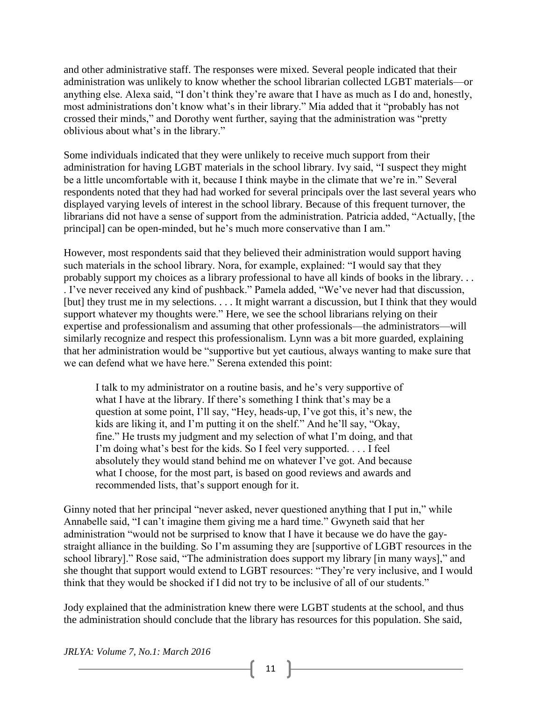and other administrative staff. The responses were mixed. Several people indicated that their administration was unlikely to know whether the school librarian collected LGBT materials—or anything else. Alexa said, "I don't think they're aware that I have as much as I do and, honestly, most administrations don't know what's in their library." Mia added that it "probably has not crossed their minds," and Dorothy went further, saying that the administration was "pretty oblivious about what's in the library."

Some individuals indicated that they were unlikely to receive much support from their administration for having LGBT materials in the school library. Ivy said, "I suspect they might be a little uncomfortable with it, because I think maybe in the climate that we're in." Several respondents noted that they had had worked for several principals over the last several years who displayed varying levels of interest in the school library. Because of this frequent turnover, the librarians did not have a sense of support from the administration. Patricia added, "Actually, [the principal] can be open-minded, but he's much more conservative than I am."

However, most respondents said that they believed their administration would support having such materials in the school library. Nora, for example, explained: "I would say that they probably support my choices as a library professional to have all kinds of books in the library. . . . I've never received any kind of pushback." Pamela added, "We've never had that discussion, [but] they trust me in my selections. . . . It might warrant a discussion, but I think that they would support whatever my thoughts were." Here, we see the school librarians relying on their expertise and professionalism and assuming that other professionals—the administrators—will similarly recognize and respect this professionalism. Lynn was a bit more guarded, explaining that her administration would be "supportive but yet cautious, always wanting to make sure that we can defend what we have here." Serena extended this point:

I talk to my administrator on a routine basis, and he's very supportive of what I have at the library. If there's something I think that's may be a question at some point, I'll say, "Hey, heads-up, I've got this, it's new, the kids are liking it, and I'm putting it on the shelf." And he'll say, "Okay, fine." He trusts my judgment and my selection of what I'm doing, and that I'm doing what's best for the kids. So I feel very supported. . . . I feel absolutely they would stand behind me on whatever I've got. And because what I choose, for the most part, is based on good reviews and awards and recommended lists, that's support enough for it.

Ginny noted that her principal "never asked, never questioned anything that I put in," while Annabelle said, "I can't imagine them giving me a hard time." Gwyneth said that her administration "would not be surprised to know that I have it because we do have the gaystraight alliance in the building. So I'm assuming they are [supportive of LGBT resources in the school library]." Rose said, "The administration does support my library [in many ways]," and she thought that support would extend to LGBT resources: "They're very inclusive, and I would think that they would be shocked if I did not try to be inclusive of all of our students."

Jody explained that the administration knew there were LGBT students at the school, and thus the administration should conclude that the library has resources for this population. She said,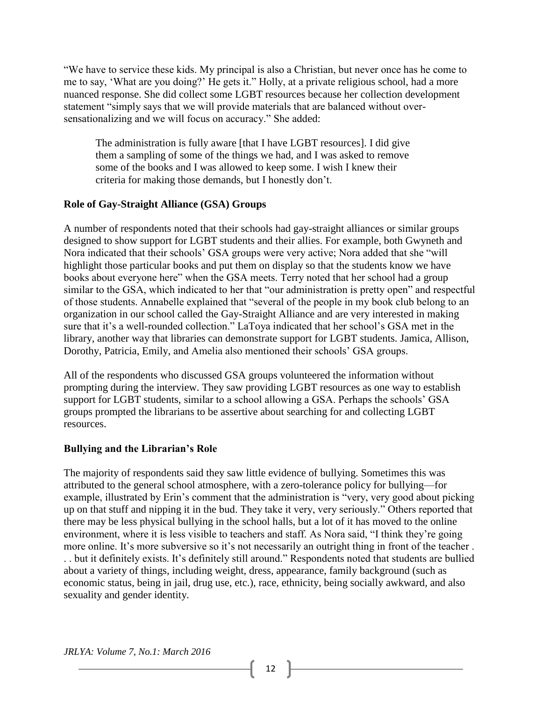"We have to service these kids. My principal is also a Christian, but never once has he come to me to say, 'What are you doing?' He gets it." Holly, at a private religious school, had a more nuanced response. She did collect some LGBT resources because her collection development statement "simply says that we will provide materials that are balanced without oversensationalizing and we will focus on accuracy." She added:

The administration is fully aware [that I have LGBT resources]. I did give them a sampling of some of the things we had, and I was asked to remove some of the books and I was allowed to keep some. I wish I knew their criteria for making those demands, but I honestly don't.

#### **Role of Gay-Straight Alliance (GSA) Groups**

A number of respondents noted that their schools had gay-straight alliances or similar groups designed to show support for LGBT students and their allies. For example, both Gwyneth and Nora indicated that their schools' GSA groups were very active; Nora added that she "will highlight those particular books and put them on display so that the students know we have books about everyone here" when the GSA meets. Terry noted that her school had a group similar to the GSA, which indicated to her that "our administration is pretty open" and respectful of those students. Annabelle explained that "several of the people in my book club belong to an organization in our school called the Gay-Straight Alliance and are very interested in making sure that it's a well-rounded collection." LaToya indicated that her school's GSA met in the library, another way that libraries can demonstrate support for LGBT students. Jamica, Allison, Dorothy, Patricia, Emily, and Amelia also mentioned their schools' GSA groups.

All of the respondents who discussed GSA groups volunteered the information without prompting during the interview. They saw providing LGBT resources as one way to establish support for LGBT students, similar to a school allowing a GSA. Perhaps the schools' GSA groups prompted the librarians to be assertive about searching for and collecting LGBT resources.

#### **Bullying and the Librarian's Role**

The majority of respondents said they saw little evidence of bullying. Sometimes this was attributed to the general school atmosphere, with a zero-tolerance policy for bullying—for example, illustrated by Erin's comment that the administration is "very, very good about picking up on that stuff and nipping it in the bud. They take it very, very seriously." Others reported that there may be less physical bullying in the school halls, but a lot of it has moved to the online environment, where it is less visible to teachers and staff. As Nora said, "I think they're going more online. It's more subversive so it's not necessarily an outright thing in front of the teacher . . . but it definitely exists. It's definitely still around." Respondents noted that students are bullied about a variety of things, including weight, dress, appearance, family background (such as economic status, being in jail, drug use, etc.), race, ethnicity, being socially awkward, and also sexuality and gender identity.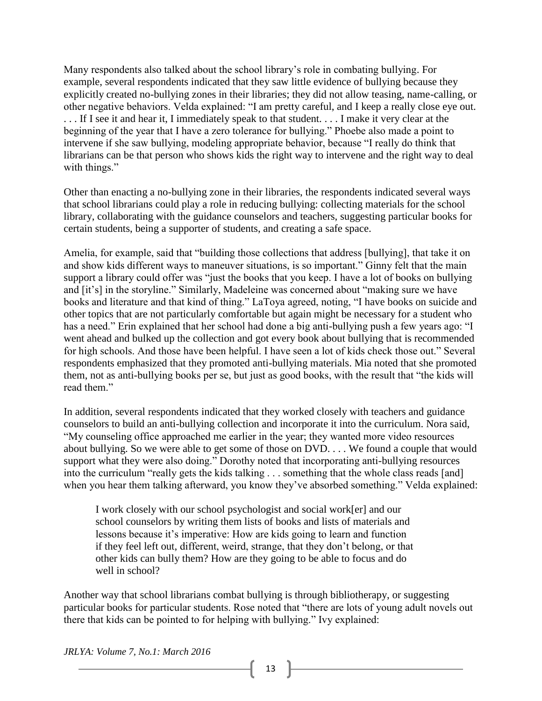Many respondents also talked about the school library's role in combating bullying. For example, several respondents indicated that they saw little evidence of bullying because they explicitly created no-bullying zones in their libraries; they did not allow teasing, name-calling, or other negative behaviors. Velda explained: "I am pretty careful, and I keep a really close eye out. . . . If I see it and hear it, I immediately speak to that student. . . . I make it very clear at the beginning of the year that I have a zero tolerance for bullying." Phoebe also made a point to intervene if she saw bullying, modeling appropriate behavior, because "I really do think that librarians can be that person who shows kids the right way to intervene and the right way to deal with things."

Other than enacting a no-bullying zone in their libraries, the respondents indicated several ways that school librarians could play a role in reducing bullying: collecting materials for the school library, collaborating with the guidance counselors and teachers, suggesting particular books for certain students, being a supporter of students, and creating a safe space.

Amelia, for example, said that "building those collections that address [bullying], that take it on and show kids different ways to maneuver situations, is so important." Ginny felt that the main support a library could offer was "just the books that you keep. I have a lot of books on bullying and [it's] in the storyline." Similarly, Madeleine was concerned about "making sure we have books and literature and that kind of thing." LaToya agreed, noting, "I have books on suicide and other topics that are not particularly comfortable but again might be necessary for a student who has a need." Erin explained that her school had done a big anti-bullying push a few years ago: "I went ahead and bulked up the collection and got every book about bullying that is recommended for high schools. And those have been helpful. I have seen a lot of kids check those out." Several respondents emphasized that they promoted anti-bullying materials. Mia noted that she promoted them, not as anti-bullying books per se, but just as good books, with the result that "the kids will read them."

In addition, several respondents indicated that they worked closely with teachers and guidance counselors to build an anti-bullying collection and incorporate it into the curriculum. Nora said, "My counseling office approached me earlier in the year; they wanted more video resources about bullying. So we were able to get some of those on DVD. . . . We found a couple that would support what they were also doing." Dorothy noted that incorporating anti-bullying resources into the curriculum "really gets the kids talking . . . something that the whole class reads [and] when you hear them talking afterward, you know they've absorbed something." Velda explained:

I work closely with our school psychologist and social work[er] and our school counselors by writing them lists of books and lists of materials and lessons because it's imperative: How are kids going to learn and function if they feel left out, different, weird, strange, that they don't belong, or that other kids can bully them? How are they going to be able to focus and do well in school?

Another way that school librarians combat bullying is through bibliotherapy, or suggesting particular books for particular students. Rose noted that "there are lots of young adult novels out there that kids can be pointed to for helping with bullying." Ivy explained: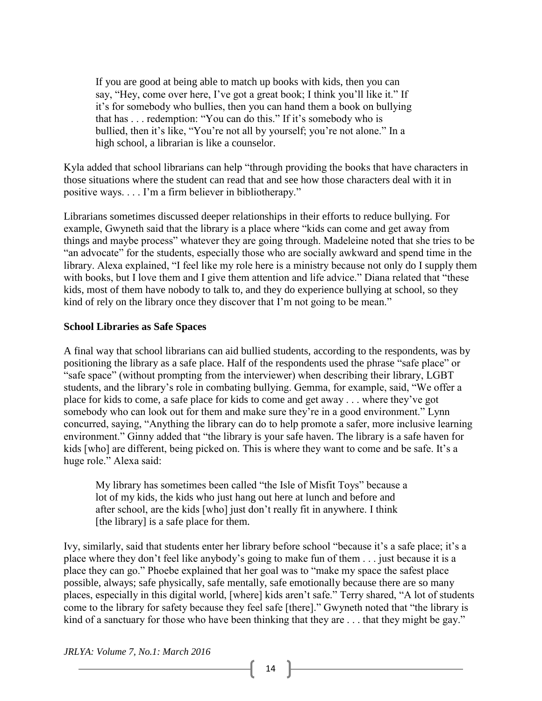If you are good at being able to match up books with kids, then you can say, "Hey, come over here, I've got a great book; I think you'll like it." If it's for somebody who bullies, then you can hand them a book on bullying that has . . . redemption: "You can do this." If it's somebody who is bullied, then it's like, "You're not all by yourself; you're not alone." In a high school, a librarian is like a counselor.

Kyla added that school librarians can help "through providing the books that have characters in those situations where the student can read that and see how those characters deal with it in positive ways. . . . I'm a firm believer in bibliotherapy."

Librarians sometimes discussed deeper relationships in their efforts to reduce bullying. For example, Gwyneth said that the library is a place where "kids can come and get away from things and maybe process" whatever they are going through. Madeleine noted that she tries to be "an advocate" for the students, especially those who are socially awkward and spend time in the library. Alexa explained, "I feel like my role here is a ministry because not only do I supply them with books, but I love them and I give them attention and life advice." Diana related that "these kids, most of them have nobody to talk to, and they do experience bullying at school, so they kind of rely on the library once they discover that I'm not going to be mean."

#### **School Libraries as Safe Spaces**

A final way that school librarians can aid bullied students, according to the respondents, was by positioning the library as a safe place. Half of the respondents used the phrase "safe place" or "safe space" (without prompting from the interviewer) when describing their library, LGBT students, and the library's role in combating bullying. Gemma, for example, said, "We offer a place for kids to come, a safe place for kids to come and get away . . . where they've got somebody who can look out for them and make sure they're in a good environment." Lynn concurred, saying, "Anything the library can do to help promote a safer, more inclusive learning environment." Ginny added that "the library is your safe haven. The library is a safe haven for kids [who] are different, being picked on. This is where they want to come and be safe. It's a huge role." Alexa said:

My library has sometimes been called "the Isle of Misfit Toys" because a lot of my kids, the kids who just hang out here at lunch and before and after school, are the kids [who] just don't really fit in anywhere. I think [the library] is a safe place for them.

Ivy, similarly, said that students enter her library before school "because it's a safe place; it's a place where they don't feel like anybody's going to make fun of them . . . just because it is a place they can go." Phoebe explained that her goal was to "make my space the safest place possible, always; safe physically, safe mentally, safe emotionally because there are so many places, especially in this digital world, [where] kids aren't safe." Terry shared, "A lot of students come to the library for safety because they feel safe [there]." Gwyneth noted that "the library is kind of a sanctuary for those who have been thinking that they are ... that they might be gay."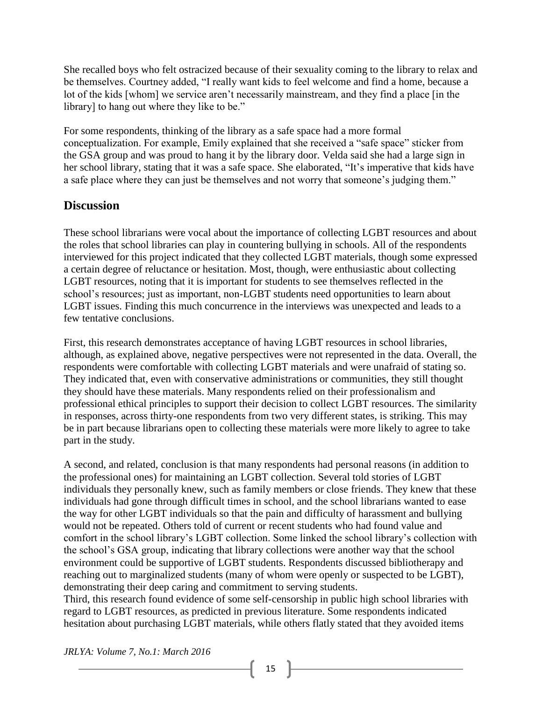She recalled boys who felt ostracized because of their sexuality coming to the library to relax and be themselves. Courtney added, "I really want kids to feel welcome and find a home, because a lot of the kids [whom] we service aren't necessarily mainstream, and they find a place [in the library] to hang out where they like to be."

For some respondents, thinking of the library as a safe space had a more formal conceptualization. For example, Emily explained that she received a "safe space" sticker from the GSA group and was proud to hang it by the library door. Velda said she had a large sign in her school library, stating that it was a safe space. She elaborated, "It's imperative that kids have a safe place where they can just be themselves and not worry that someone's judging them."

## **Discussion**

These school librarians were vocal about the importance of collecting LGBT resources and about the roles that school libraries can play in countering bullying in schools. All of the respondents interviewed for this project indicated that they collected LGBT materials, though some expressed a certain degree of reluctance or hesitation. Most, though, were enthusiastic about collecting LGBT resources, noting that it is important for students to see themselves reflected in the school's resources; just as important, non-LGBT students need opportunities to learn about LGBT issues. Finding this much concurrence in the interviews was unexpected and leads to a few tentative conclusions.

First, this research demonstrates acceptance of having LGBT resources in school libraries, although, as explained above, negative perspectives were not represented in the data. Overall, the respondents were comfortable with collecting LGBT materials and were unafraid of stating so. They indicated that, even with conservative administrations or communities, they still thought they should have these materials. Many respondents relied on their professionalism and professional ethical principles to support their decision to collect LGBT resources. The similarity in responses, across thirty-one respondents from two very different states, is striking. This may be in part because librarians open to collecting these materials were more likely to agree to take part in the study.

A second, and related, conclusion is that many respondents had personal reasons (in addition to the professional ones) for maintaining an LGBT collection. Several told stories of LGBT individuals they personally knew, such as family members or close friends. They knew that these individuals had gone through difficult times in school, and the school librarians wanted to ease the way for other LGBT individuals so that the pain and difficulty of harassment and bullying would not be repeated. Others told of current or recent students who had found value and comfort in the school library's LGBT collection. Some linked the school library's collection with the school's GSA group, indicating that library collections were another way that the school environment could be supportive of LGBT students. Respondents discussed bibliotherapy and reaching out to marginalized students (many of whom were openly or suspected to be LGBT), demonstrating their deep caring and commitment to serving students.

Third, this research found evidence of some self-censorship in public high school libraries with regard to LGBT resources, as predicted in previous literature. Some respondents indicated hesitation about purchasing LGBT materials, while others flatly stated that they avoided items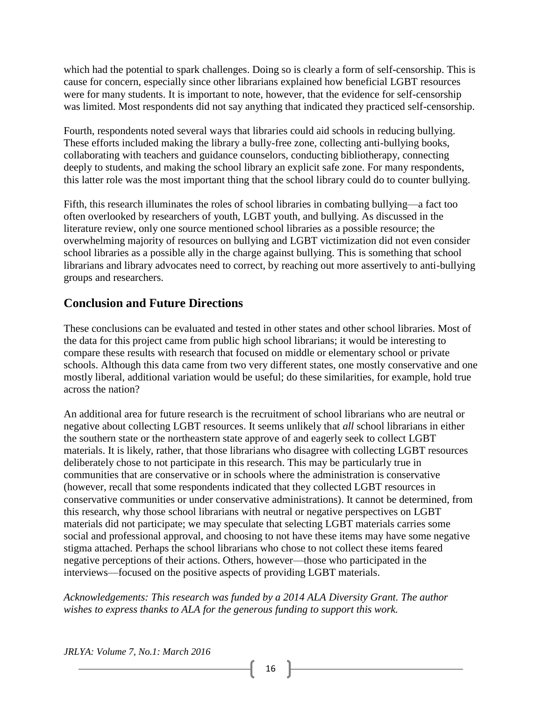which had the potential to spark challenges. Doing so is clearly a form of self-censorship. This is cause for concern, especially since other librarians explained how beneficial LGBT resources were for many students. It is important to note, however, that the evidence for self-censorship was limited. Most respondents did not say anything that indicated they practiced self-censorship.

Fourth, respondents noted several ways that libraries could aid schools in reducing bullying. These efforts included making the library a bully-free zone, collecting anti-bullying books, collaborating with teachers and guidance counselors, conducting bibliotherapy, connecting deeply to students, and making the school library an explicit safe zone. For many respondents, this latter role was the most important thing that the school library could do to counter bullying.

Fifth, this research illuminates the roles of school libraries in combating bullying—a fact too often overlooked by researchers of youth, LGBT youth, and bullying. As discussed in the literature review, only one source mentioned school libraries as a possible resource; the overwhelming majority of resources on bullying and LGBT victimization did not even consider school libraries as a possible ally in the charge against bullying. This is something that school librarians and library advocates need to correct, by reaching out more assertively to anti-bullying groups and researchers.

## **Conclusion and Future Directions**

These conclusions can be evaluated and tested in other states and other school libraries. Most of the data for this project came from public high school librarians; it would be interesting to compare these results with research that focused on middle or elementary school or private schools. Although this data came from two very different states, one mostly conservative and one mostly liberal, additional variation would be useful; do these similarities, for example, hold true across the nation?

An additional area for future research is the recruitment of school librarians who are neutral or negative about collecting LGBT resources. It seems unlikely that *all* school librarians in either the southern state or the northeastern state approve of and eagerly seek to collect LGBT materials. It is likely, rather, that those librarians who disagree with collecting LGBT resources deliberately chose to not participate in this research. This may be particularly true in communities that are conservative or in schools where the administration is conservative (however, recall that some respondents indicated that they collected LGBT resources in conservative communities or under conservative administrations). It cannot be determined, from this research, why those school librarians with neutral or negative perspectives on LGBT materials did not participate; we may speculate that selecting LGBT materials carries some social and professional approval, and choosing to not have these items may have some negative stigma attached. Perhaps the school librarians who chose to not collect these items feared negative perceptions of their actions. Others, however—those who participated in the interviews—focused on the positive aspects of providing LGBT materials.

*Acknowledgements: This research was funded by a 2014 ALA Diversity Grant. The author wishes to express thanks to ALA for the generous funding to support this work.*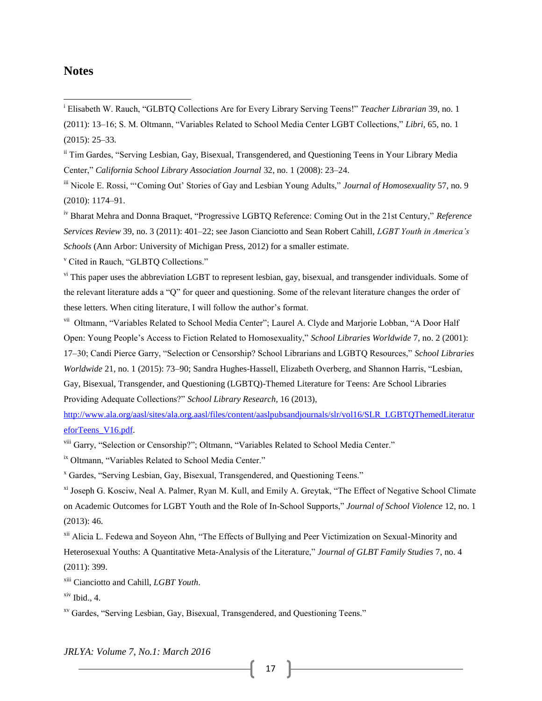#### **Notes**

 $\overline{\phantom{a}}$ 

<sup>i</sup> Elisabeth W. Rauch, "GLBTQ Collections Are for Every Library Serving Teens!" *Teacher Librarian* 39, no. 1 (2011): 13–16; S. M. Oltmann, "Variables Related to School Media Center LGBT Collections," *Libri*, 65, no. 1 (2015): 25–33.

<sup>ii</sup> Tim Gardes, "Serving Lesbian, Gay, Bisexual, Transgendered, and Questioning Teens in Your Library Media Center," *California School Library Association Journal* 32, no. 1 (2008): 23–24.

iii Nicole E. Rossi, "'Coming Out' Stories of Gay and Lesbian Young Adults," *Journal of Homosexuality* 57, no. 9 (2010): 1174–91.

iv Bharat Mehra and Donna Braquet, "Progressive LGBTQ Reference: Coming Out in the 21st Century," *Reference Services Review* 39, no. 3 (2011): 401–22; see Jason Cianciotto and Sean Robert Cahill, *LGBT Youth in America's Schools* (Ann Arbor: University of Michigan Press, 2012) for a smaller estimate.

<sup>v</sup> Cited in Rauch, "GLBTQ Collections."

<sup>vi</sup> This paper uses the abbreviation LGBT to represent lesbian, gay, bisexual, and transgender individuals. Some of the relevant literature adds a "Q" for queer and questioning. Some of the relevant literature changes the order of these letters. When citing literature, I will follow the author's format.

vii Oltmann, "Variables Related to School Media Center"; Laurel A. Clyde and Marjorie Lobban, "A Door Half Open: Young People's Access to Fiction Related to Homosexuality," *School Libraries Worldwide* 7, no. 2 (2001): 17–30; Candi Pierce Garry, "Selection or Censorship? School Librarians and LGBTQ Resources," *School Libraries Worldwide* 21, no. 1 (2015): 73–90; Sandra Hughes-Hassell, Elizabeth Overberg, and Shannon Harris, "Lesbian, Gay, Bisexual, Transgender, and Questioning (LGBTQ)-Themed Literature for Teens: Are School Libraries Providing Adequate Collections?" *School Library Research,* 16 (2013),

[http://www.ala.org/aasl/sites/ala.org.aasl/files/content/aaslpubsandjournals/slr/vol16/SLR\\_LGBTQThemedLiteratur](http://www.ala.org/aasl/sites/ala.org.aasl/files/content/aaslpubsandjournals/slr/vol16/SLR_LGBTQThemedLiteratureforTeens_V16.pdf) [eforTeens\\_V16.pdf.](http://www.ala.org/aasl/sites/ala.org.aasl/files/content/aaslpubsandjournals/slr/vol16/SLR_LGBTQThemedLiteratureforTeens_V16.pdf)

viii Garry, "Selection or Censorship?"; Oltmann, "Variables Related to School Media Center."

ix Oltmann, "Variables Related to School Media Center."

<sup>x</sup> Gardes, "Serving Lesbian, Gay, Bisexual, Transgendered, and Questioning Teens."

xi Joseph G. Kosciw, Neal A. Palmer, Ryan M. Kull, and Emily A. Greytak, "The Effect of Negative School Climate on Academic Outcomes for LGBT Youth and the Role of In-School Supports," *Journal of School Violence* 12, no. 1 (2013): 46.

xii Alicia L. Fedewa and Soyeon Ahn, "The Effects of Bullying and Peer Victimization on Sexual-Minority and Heterosexual Youths: A Quantitative Meta-Analysis of the Literature," *Journal of GLBT Family Studies* 7, no. 4 (2011): 399.

xiii Cianciotto and Cahill, *LGBT Youth*.

 $x$ <sup>iv</sup> Ibid., 4.

xv Gardes, "Serving Lesbian, Gay, Bisexual, Transgendered, and Questioning Teens."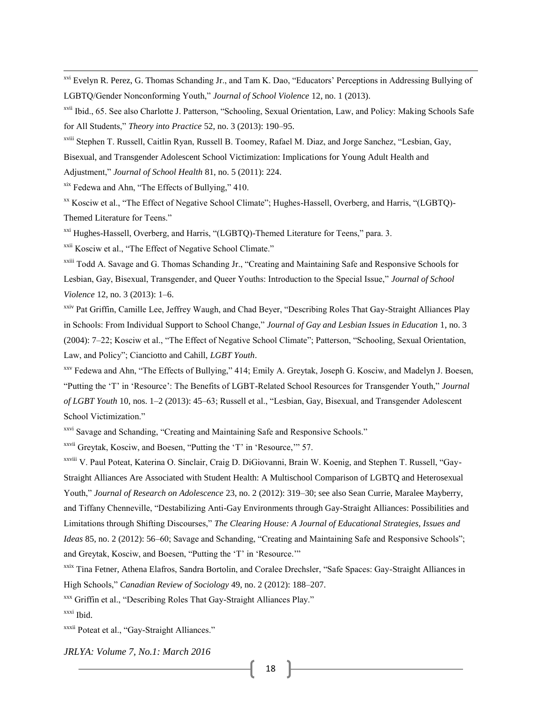xvi Evelyn R. Perez, G. Thomas Schanding Jr., and Tam K. Dao, "Educators' Perceptions in Addressing Bullying of LGBTQ/Gender Nonconforming Youth," *Journal of School Violence* 12, no. 1 (2013).

xviii Stephen T. Russell, Caitlin Ryan, Russell B. Toomey, Rafael M. Diaz, and Jorge Sanchez, "Lesbian, Gay, Bisexual, and Transgender Adolescent School Victimization: Implications for Young Adult Health and Adjustment," *Journal of School Health* 81, no. 5 (2011): 224.

xix Fedewa and Ahn, "The Effects of Bullying," 410.

 $\overline{\phantom{a}}$ 

xx Kosciw et al., "The Effect of Negative School Climate"; Hughes-Hassell, Overberg, and Harris, "(LGBTQ)- Themed Literature for Teens."

<sup>xxi</sup> Hughes-Hassell, Overberg, and Harris, "(LGBTQ)-Themed Literature for Teens," para. 3.

<sup>xxii</sup> Kosciw et al., "The Effect of Negative School Climate."

xxiii Todd A. Savage and G. Thomas Schanding Jr., "Creating and Maintaining Safe and Responsive Schools for Lesbian, Gay, Bisexual, Transgender, and Queer Youths: Introduction to the Special Issue," *Journal of School Violence* 12, no. 3 (2013): 1–6.

<sup>xxiv</sup> Pat Griffin, Camille Lee, Jeffrey Waugh, and Chad Beyer, "Describing Roles That Gay-Straight Alliances Play in Schools: From Individual Support to School Change," *Journal of Gay and Lesbian Issues in Education* 1, no. 3 (2004): 7–22; Kosciw et al., "The Effect of Negative School Climate"; Patterson, "Schooling, Sexual Orientation, Law, and Policy"; Cianciotto and Cahill, *LGBT Youth*.

xxv Fedewa and Ahn, "The Effects of Bullying," 414; Emily A. Greytak, Joseph G. Kosciw, and Madelyn J. Boesen, "Putting the 'T' in 'Resource': The Benefits of LGBT-Related School Resources for Transgender Youth," *Journal of LGBT Youth* 10, nos. 1–2 (2013): 45–63; Russell et al., "Lesbian, Gay, Bisexual, and Transgender Adolescent School Victimization."

xxvi Savage and Schanding, "Creating and Maintaining Safe and Responsive Schools."

xxvii Greytak, Kosciw, and Boesen, "Putting the 'T' in 'Resource,'" 57.

xxviii V. Paul Poteat, Katerina O. Sinclair, Craig D. DiGiovanni, Brain W. Koenig, and Stephen T. Russell, "Gay-Straight Alliances Are Associated with Student Health: A Multischool Comparison of LGBTQ and Heterosexual Youth," *Journal of Research on Adolescence* 23, no. 2 (2012): 319–30; see also Sean Currie, Maralee Mayberry, and Tiffany Chenneville, "Destabilizing Anti-Gay Environments through Gay-Straight Alliances: Possibilities and Limitations through Shifting Discourses," *The Clearing House: A Journal of Educational Strategies, Issues and Ideas* 85, no. 2 (2012): 56–60; Savage and Schanding, "Creating and Maintaining Safe and Responsive Schools"; and Greytak, Kosciw, and Boesen, "Putting the 'T' in 'Resource.'"

xxix Tina Fetner, Athena Elafros, Sandra Bortolin, and Coralee Drechsler, "Safe Spaces: Gay-Straight Alliances in High Schools," *Canadian Review of Sociology* 49, no. 2 (2012): 188–207.

xxx Griffin et al., "Describing Roles That Gay-Straight Alliances Play."

xxxi Ibid.

xxxii Poteat et al., "Gay-Straight Alliances."

xvii Ibid., 65. See also Charlotte J. Patterson, "Schooling, Sexual Orientation, Law, and Policy: Making Schools Safe for All Students," *Theory into Practice* 52, no. 3 (2013): 190–95.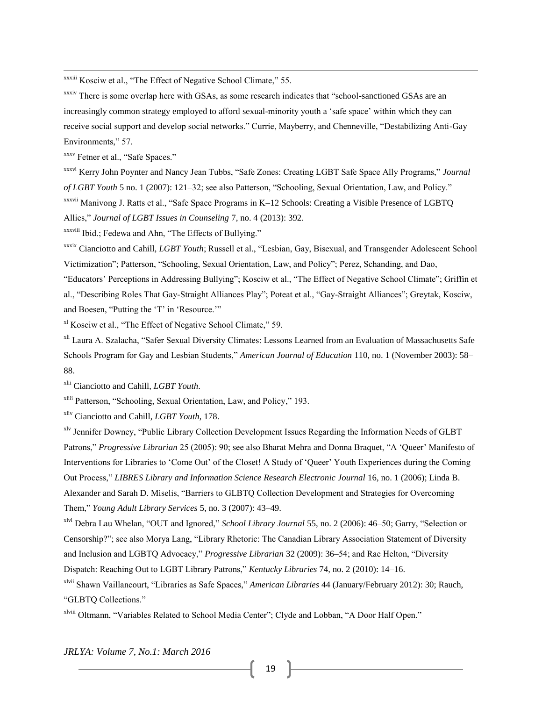xxxiii Kosciw et al., "The Effect of Negative School Climate," 55.

xxxiv There is some overlap here with GSAs, as some research indicates that "school-sanctioned GSAs are an increasingly common strategy employed to afford sexual-minority youth a 'safe space' within which they can receive social support and develop social networks." Currie, Mayberry, and Chenneville, "Destabilizing Anti-Gay Environments," 57.

xxxv Fetner et al., "Safe Spaces."

 $\overline{\phantom{a}}$ 

xxxvi Kerry John Poynter and Nancy Jean Tubbs, "Safe Zones: Creating LGBT Safe Space Ally Programs," *Journal of LGBT Youth* 5 no. 1 (2007): 121–32; see also Patterson, "Schooling, Sexual Orientation, Law, and Policy." xxxvii Manivong J. Ratts et al., "Safe Space Programs in K–12 Schools: Creating a Visible Presence of LGBTQ Allies," *Journal of LGBT Issues in Counseling* 7, no. 4 (2013): 392.

xxxviii Ibid.; Fedewa and Ahn, "The Effects of Bullying."

xxxix Cianciotto and Cahill, *LGBT Youth*; Russell et al., "Lesbian, Gay, Bisexual, and Transgender Adolescent School Victimization"; Patterson, "Schooling, Sexual Orientation, Law, and Policy"; Perez, Schanding, and Dao,

"Educators' Perceptions in Addressing Bullying"; Kosciw et al., "The Effect of Negative School Climate"; Griffin et al., "Describing Roles That Gay-Straight Alliances Play"; Poteat et al., "Gay-Straight Alliances"; Greytak, Kosciw, and Boesen, "Putting the 'T' in 'Resource.'"

xl Kosciw et al., "The Effect of Negative School Climate," 59.

<sup>xli</sup> Laura A. Szalacha, "Safer Sexual Diversity Climates: Lessons Learned from an Evaluation of Massachusetts Safe Schools Program for Gay and Lesbian Students," *American Journal of Education* 110, no. 1 (November 2003): 58– 88.

xlii Cianciotto and Cahill, *LGBT Youth*.

xliii Patterson, "Schooling, Sexual Orientation, Law, and Policy," 193.

xliv Cianciotto and Cahill, *LGBT Youth*, 178.

xlv Jennifer Downey, "Public Library Collection Development Issues Regarding the Information Needs of GLBT Patrons," *Progressive Librarian* 25 (2005): 90; see also Bharat Mehra and Donna Braquet, "A 'Queer' Manifesto of Interventions for Libraries to 'Come Out' of the Closet! A Study of 'Queer' Youth Experiences during the Coming Out Process," *LIBRES Library and Information Science Research Electronic Journal* 16, no. 1 (2006); Linda B. Alexander and Sarah D. Miselis, "Barriers to GLBTQ Collection Development and Strategies for Overcoming Them," *Young Adult Library Services* 5, no. 3 (2007): 43–49.

xlvi Debra Lau Whelan, "OUT and Ignored," *School Library Journal* 55, no. 2 (2006): 46–50; Garry, "Selection or Censorship?"; see also Morya Lang, "Library Rhetoric: The Canadian Library Association Statement of Diversity and Inclusion and LGBTQ Advocacy," *Progressive Librarian* 32 (2009): 36–54; and Rae Helton, "Diversity Dispatch: Reaching Out to LGBT Library Patrons," *Kentucky Libraries* 74, no. 2 (2010): 14–16.

xlvii Shawn Vaillancourt, "Libraries as Safe Spaces," *American Libraries* 44 (January/February 2012): 30; Rauch, "GLBTQ Collections."

xlviii Oltmann, "Variables Related to School Media Center"; Clyde and Lobban, "A Door Half Open."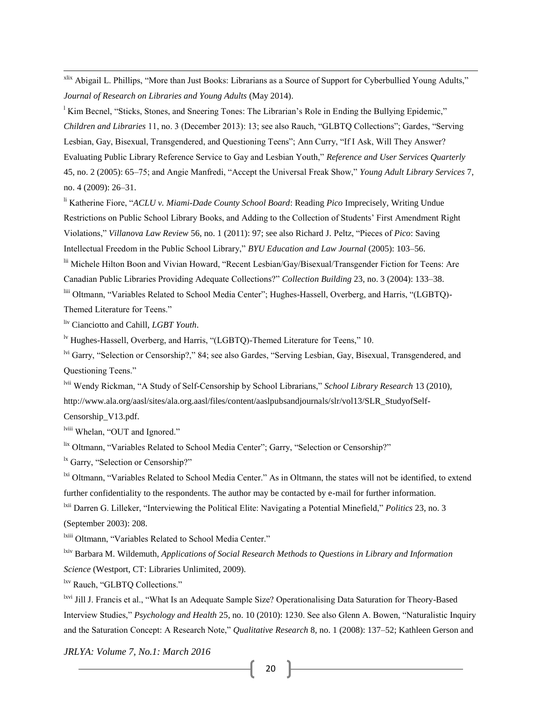xlix Abigail L. Phillips, "More than Just Books: Librarians as a Source of Support for Cyberbullied Young Adults," *Journal of Research on Libraries and Young Adults* (May 2014).

<sup>1</sup> Kim Becnel, "Sticks, Stones, and Sneering Tones: The Librarian's Role in Ending the Bullying Epidemic," *Children and Libraries* 11, no. 3 (December 2013): 13; see also Rauch, "GLBTQ Collections"; Gardes, "Serving Lesbian, Gay, Bisexual, Transgendered, and Questioning Teens"; Ann Curry, "If I Ask, Will They Answer? Evaluating Public Library Reference Service to Gay and Lesbian Youth," *Reference and User Services Quarterly* 45, no. 2 (2005): 65–75; and Angie Manfredi, "Accept the Universal Freak Show," *Young Adult Library Services* 7, no. 4 (2009): 26–31.

li Katherine Fiore, "*ACLU v. Miami-Dade County School Board*: Reading *Pico* Imprecisely, Writing Undue Restrictions on Public School Library Books, and Adding to the Collection of Students' First Amendment Right Violations," *Villanova Law Review* 56, no. 1 (2011): 97; see also Richard J. Peltz, "Pieces of *Pico*: Saving Intellectual Freedom in the Public School Library," *BYU Education and Law Journal* (2005): 103–56.

lii Michele Hilton Boon and Vivian Howard, "Recent Lesbian/Gay/Bisexual/Transgender Fiction for Teens: Are Canadian Public Libraries Providing Adequate Collections?" *Collection Building* 23, no. 3 (2004): 133–38. liii Oltmann, "Variables Related to School Media Center"; Hughes-Hassell, Overberg, and Harris, "(LGBTQ)-

Themed Literature for Teens."

 $\overline{\phantom{a}}$ 

liv Cianciotto and Cahill, *LGBT Youth*.

<sup>lv</sup> Hughes-Hassell, Overberg, and Harris, "(LGBTQ)-Themed Literature for Teens," 10.

lvi Garry, "Selection or Censorship?," 84; see also Gardes, "Serving Lesbian, Gay, Bisexual, Transgendered, and Questioning Teens."

lvii Wendy Rickman, "A Study of Self-Censorship by School Librarians," *School Library Research* 13 (2010), http://www.ala.org/aasl/sites/ala.org.aasl/files/content/aaslpubsandjournals/slr/vol13/SLR\_StudyofSelf-

Censorship\_V13.pdf.

lviii Whelan, "OUT and Ignored."

lix Oltmann, "Variables Related to School Media Center"; Garry, "Selection or Censorship?"

<sup>1x</sup> Garry, "Selection or Censorship?"

<sup>1xi</sup> Oltmann, "Variables Related to School Media Center." As in Oltmann, the states will not be identified, to extend further confidentiality to the respondents. The author may be contacted by e-mail for further information. lxii Darren G. Lilleker, "Interviewing the Political Elite: Navigating a Potential Minefield," *Politics* 23, no. 3

(September 2003): 208.

<sup>lxiii</sup> Oltmann, "Variables Related to School Media Center."

lxiv Barbara M. Wildemuth, *Applications of Social Research Methods to Questions in Library and Information Science* (Westport, CT: Libraries Unlimited, 2009).

lxv Rauch, "GLBTQ Collections."

lxvi Jill J. Francis et al., "What Is an Adequate Sample Size? Operationalising Data Saturation for Theory-Based Interview Studies," *Psychology and Health* 25, no. 10 (2010): 1230. See also Glenn A. Bowen, "Naturalistic Inquiry and the Saturation Concept: A Research Note," *Qualitative Research* 8, no. 1 (2008): 137–52; Kathleen Gerson and